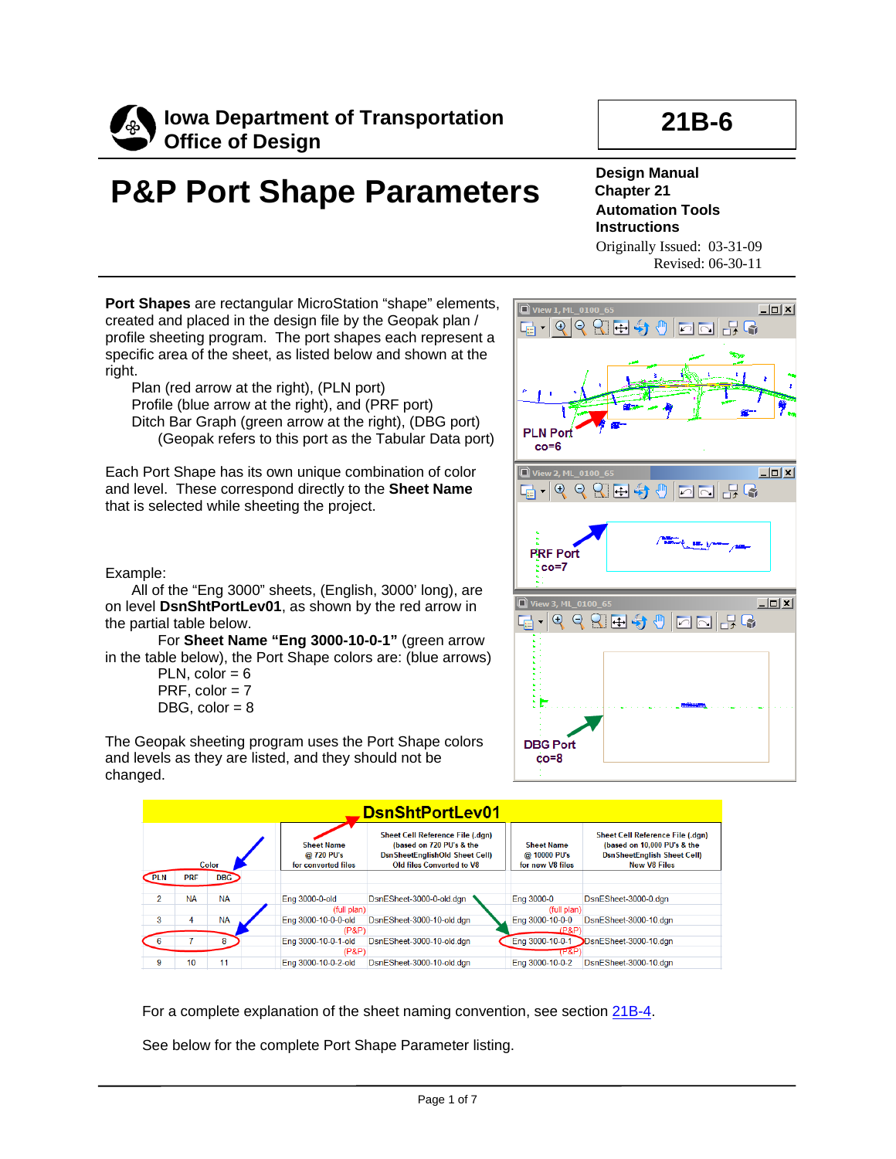

## **21B-6**

# **P&P Port Shape Parameters**

#### **Design Manual Chapter 21 Automation Tools Instructions** Originally Issued: 03-31-09 Revised: 06-30-11

**Port Shapes** are rectangular MicroStation "shape" elements, created and placed in the design file by the Geopak plan / profile sheeting program. The port shapes each represent a specific area of the sheet, as listed below and shown at the right.

Plan (red arrow at the right), (PLN port) Profile (blue arrow at the right), and (PRF port) Ditch Bar Graph (green arrow at the right), (DBG port) (Geopak refers to this port as the Tabular Data port)

Each Port Shape has its own unique combination of color and level. These correspond directly to the **Sheet Name**  that is selected while sheeting the project.

Example:

All of the "Eng 3000" sheets, (English, 3000' long), are on level **DsnShtPortLev01**, as shown by the red arrow in the partial table below.

For **Sheet Name "Eng 3000-10-0-1"** (green arrow in the table below), the Port Shape colors are: (blue arrows)

PLN,  $color = 6$ PRF,  $color = 7$ DBG,  $color = 8$ 

The Geopak sheeting program uses the Port Shape colors and levels as they are listed, and they should not be changed.





For a complete explanation of the sheet naming convention, see section 21B-4.

See below for the complete Port Shape Parameter listing.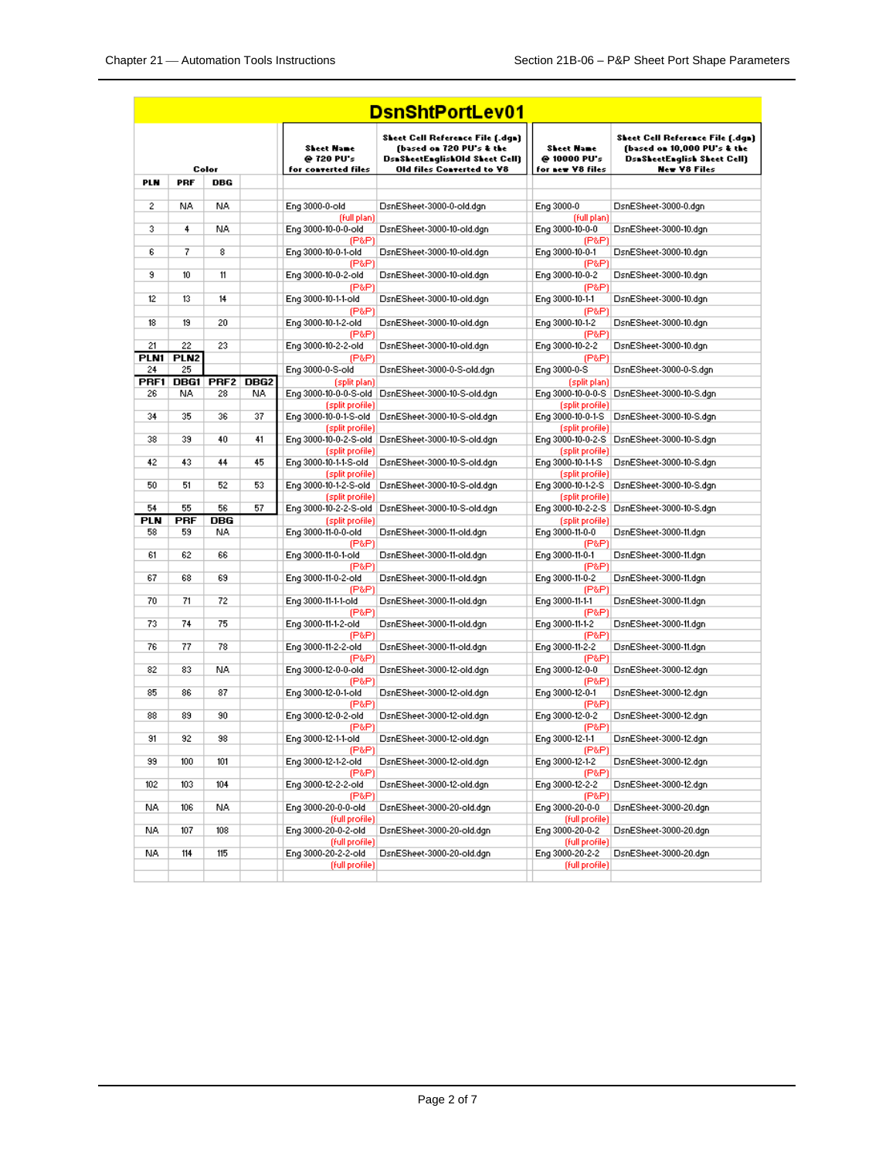|            |                  |                  |                  |                                                        | <b>DsnShtPortLev01</b>                                                                                                      |                                                       |                                                                                                                       |
|------------|------------------|------------------|------------------|--------------------------------------------------------|-----------------------------------------------------------------------------------------------------------------------------|-------------------------------------------------------|-----------------------------------------------------------------------------------------------------------------------|
| Color      |                  |                  |                  | <b>Sheet Hame</b><br>@ 720 PU's<br>for converted files | Sheet Cell Reference File (.dgn)<br>(based on 720 PU's & the<br>DsaSheetEaglishOld Sheet Cell)<br>Old files Converted to V8 | <b>Sheet Hame</b><br>@ 10000 PU's<br>for new V8 files | Sheet Cell Reference File (.dgn)<br>(based on 10,000 PU's & the<br>DsaSheetEnglish Sheet Cell)<br><b>New V8 Files</b> |
| PLN        | PRF              | DBG              |                  |                                                        |                                                                                                                             |                                                       |                                                                                                                       |
|            |                  |                  |                  |                                                        |                                                                                                                             |                                                       |                                                                                                                       |
| 2          | NA.              | NA               |                  | Eng 3000-0-old<br>(full plan)                          | DsnESheet-3000-0-old.dgn                                                                                                    | Eng 3000-0<br>(full plan)                             | DsnESheet-3000-0.dgn                                                                                                  |
| 3          | 4                | NA.              |                  | Eng 3000-10-0-0-old                                    | DsnESheet-3000-10-old.dgn                                                                                                   | Eng 3000-10-0-0                                       | DsnESheet-3000-10.dgn                                                                                                 |
|            |                  |                  |                  | (P&P)                                                  |                                                                                                                             | (P&P)                                                 |                                                                                                                       |
| 6          | 7                | 8                |                  | Eng 3000-10-0-1-old                                    | DsnESheet-3000-10-old.dgn                                                                                                   | Eng 3000-10-0-1                                       | DsnESheet-3000-10.dgn                                                                                                 |
| 9          | 10               | 11               |                  | (P&P)<br>Eng 3000-10-0-2-old                           | DsnESheet-3000-10-old.dgn                                                                                                   | (P&P)<br>Eng 3000-10-0-2                              | DsnESheet-3000-10.dgn                                                                                                 |
|            |                  |                  |                  | (P&P)                                                  |                                                                                                                             | (P&P)                                                 |                                                                                                                       |
| 12         | 13               | 14               |                  | Eng 3000-10-1-1-old                                    | DsnESheet-3000-10-old.dgn                                                                                                   | Eng 3000-10-1-1                                       | DsnESheet-3000-10.dgn                                                                                                 |
|            |                  |                  |                  | (P&P)                                                  |                                                                                                                             | (P&P)                                                 |                                                                                                                       |
| 18         | 19               | 20               |                  | Eng 3000-10-1-2-old<br>(P&P)                           | DsnESheet-3000-10-old.dgn                                                                                                   | Eng 3000-10-1-2<br>(P&P)                              | DsnESheet-3000-10.dgn                                                                                                 |
| 21         | 22               | 23               |                  | Eng 3000-10-2-2-old                                    | DsnESheet-3000-10-old.dgn                                                                                                   | Eng 3000-10-2-2                                       | DsnESheet-3000-10.dgn                                                                                                 |
| PLN1       | PLN <sub>2</sub> |                  |                  | (P&P)                                                  |                                                                                                                             | (P&P)                                                 |                                                                                                                       |
| 24         | 25               |                  |                  | Eng 3000-0-S-old                                       | DsnESheet-3000-0-S-old.dgn                                                                                                  | Eng 3000-0-S                                          | DsnESheet-3000-0-S.dgn                                                                                                |
| PRF1       | DBG1             | PRF <sub>2</sub> | DBG <sub>2</sub> | (split plan)                                           |                                                                                                                             | (split plan)                                          |                                                                                                                       |
| 26         | NA.              | 28               | NA.              | Eng 3000-10-0-0-S-old                                  | DsnESheet-3000-10-S-old.dgn                                                                                                 | Eng 3000-10-0-0-S                                     | DsnESheet-3000-10-S.dgn                                                                                               |
| 34         | 35               | 36               | 37               | (split profile)<br>Eng 3000-10-0-1-S-old               | DsnESheet-3000-10-S-old.dgn                                                                                                 | (split profile)                                       | Eng 3000-10-0-1-S DsnESheet-3000-10-S.dgn                                                                             |
|            |                  |                  |                  | (split profile)                                        |                                                                                                                             | (split profile)                                       |                                                                                                                       |
| 38         | 39               | 40               | 41               |                                                        | Eng 3000-10-0-2-S-old DsnESheet-3000-10-S-old.dgn                                                                           |                                                       | Eng 3000-10-0-2-S   DsnESheet-3000-10-S.dgn                                                                           |
|            |                  |                  |                  | (split profile)                                        |                                                                                                                             | (split profile)                                       |                                                                                                                       |
| 42         | 43               | 44               | 45               | Eng 3000-10-1-1-S-old                                  | DsnESheet-3000-10-S-old.dgn                                                                                                 | Eng 3000-10-1-1-S                                     | DsnESheet-3000-10-S.dgn                                                                                               |
| 50         | 51               | 52               | 53               | (split profile)<br>Eng 3000-10-1-2-S-old               | DsnESheet-3000-10-S-old.dgn                                                                                                 | (split profile)<br>Eng 3000-10-1-2-S                  | DsnESheet-3000-10-S.dgn                                                                                               |
|            |                  |                  |                  | (split profile)                                        |                                                                                                                             | (split profile)                                       |                                                                                                                       |
| 54         | 55               | 56               | 57               | Eng 3000-10-2-2-S-old                                  | DsnESheet-3000-10-S-old.dgn                                                                                                 |                                                       | Eng 3000-10-2-2-S   DsnESheet-3000-10-S.dgn                                                                           |
| <b>PLN</b> | <b>PRF</b>       | DBG              |                  | (split profile)                                        |                                                                                                                             | (split profile)                                       |                                                                                                                       |
| 58         | 59               | NA.              |                  | Eng 3000-11-0-0-old                                    | DsnESheet-3000-11-old.dgn                                                                                                   | Eng 3000-11-0-0                                       | DsnESheet-3000-11.dgn                                                                                                 |
| 61         | 62               | 66               |                  | (P&P)<br>Eng 3000-11-0-1-old                           | DsnESheet-3000-11-old.dgn                                                                                                   | (P&P)<br>Eng 3000-11-0-1                              | DsnESheet-3000-11.dgn                                                                                                 |
|            |                  |                  |                  | (P&P)                                                  |                                                                                                                             | (P&P)                                                 |                                                                                                                       |
| 67         | 68               | 69               |                  | Eng 3000-11-0-2-old                                    | DsnESheet-3000-11-old.dgn                                                                                                   | Eng 3000-11-0-2                                       | DsnESheet-3000-11.dgn                                                                                                 |
|            |                  |                  |                  | (P&P)                                                  |                                                                                                                             | (P&P)                                                 |                                                                                                                       |
| 70         | 71               | 72               |                  | Eng 3000-11-1-1-old                                    | DsnESheet-3000-11-old.dgn                                                                                                   | Eng 3000-11-1-1                                       | DsnESheet-3000-11.dgn                                                                                                 |
| 73         | 74               | 75               |                  | (P&P)<br>Eng 3000-11-1-2-old                           | DsnESheet-3000-11-old.dgn                                                                                                   | (P&P)<br>Eng 3000-11-1-2                              | DsnESheet-3000-11.dgn                                                                                                 |
|            |                  |                  |                  | (P&P)                                                  |                                                                                                                             | (P&P)                                                 |                                                                                                                       |
| 76         | 77               | 78               |                  | Eng 3000-11-2-2-old                                    | DsnESheet-3000-11-old.dgn                                                                                                   | Eng 3000-11-2-2                                       | DsnESheet-3000-11.dgn                                                                                                 |
|            |                  |                  |                  | (P&P)                                                  |                                                                                                                             | (P&P)                                                 |                                                                                                                       |
| 82         | 83               | NA.              |                  | Eng 3000-12-0-0-old                                    | DsnESheet-3000-12-old.dgn                                                                                                   | Eng 3000-12-0-0                                       | DsnESheet-3000-12.dgn                                                                                                 |
| 85         | 86               | 87               |                  | (P&P)<br>Eng 3000-12-0-1-old                           | DsnESheet-3000-12-old.dgn                                                                                                   | (P&P)<br>Eng 3000-12-0-1                              | DsnESheet-3000-12.dgn                                                                                                 |
|            |                  |                  |                  | (P&P)                                                  |                                                                                                                             | (P&P)                                                 |                                                                                                                       |
| 88         | 89               | 90               |                  | Eng 3000-12-0-2-old                                    | DsnESheet-3000-12-old.dgn                                                                                                   | Eng 3000-12-0-2                                       | DsnESheet-3000-12.dgn                                                                                                 |
|            |                  |                  |                  | (P&P)                                                  |                                                                                                                             | (P&P)                                                 |                                                                                                                       |
| 91         | 92               | 98               |                  | Eng 3000-12-1-1-old                                    | DsnESheet-3000-12-old.dgn                                                                                                   | Eng 3000-12-1-1                                       | DsnESheet-3000-12.dgn                                                                                                 |
| 99         | 100              | 101              |                  | (P&P)<br>Eng 3000-12-1-2-old                           | DsnESheet-3000-12-old.dgn                                                                                                   | (P&P)<br>Eng 3000-12-1-2                              | DsnESheet-3000-12.dgn                                                                                                 |
|            |                  |                  |                  | (P&P)                                                  |                                                                                                                             | (P&P)                                                 |                                                                                                                       |
| 102        | 103              | 104              |                  | Eng 3000-12-2-2-old                                    | DsnESheet-3000-12-old.dgn                                                                                                   | Eng 3000-12-2-2                                       | DsnESheet-3000-12.dgn                                                                                                 |
|            |                  |                  |                  | (P&P)                                                  |                                                                                                                             | $(P$ & $P)$                                           |                                                                                                                       |
| NA.        | 106              | NA.              |                  | Eng 3000-20-0-0-old<br>(full profile)                  | DsnESheet-3000-20-old.dgn                                                                                                   | Eng 3000-20-0-0<br>(full profile)                     | DsnESheet-3000-20.dgn                                                                                                 |
| NA.        | 107              | 108              |                  | Eng 3000-20-0-2-old                                    | DsnESheet-3000-20-old.dgn                                                                                                   | Eng 3000-20-0-2                                       | DsnESheet-3000-20.dgn                                                                                                 |
|            |                  |                  |                  | (full profile)                                         |                                                                                                                             | (full profile)                                        |                                                                                                                       |
| NA.        | 114              | 115              |                  | Eng 3000-20-2-2-old                                    | DsnESheet-3000-20-old.dgn                                                                                                   | Eng 3000-20-2-2                                       | DsnESheet-3000-20.dgn                                                                                                 |
|            |                  |                  |                  | (full profile)                                         |                                                                                                                             | (full profile)                                        |                                                                                                                       |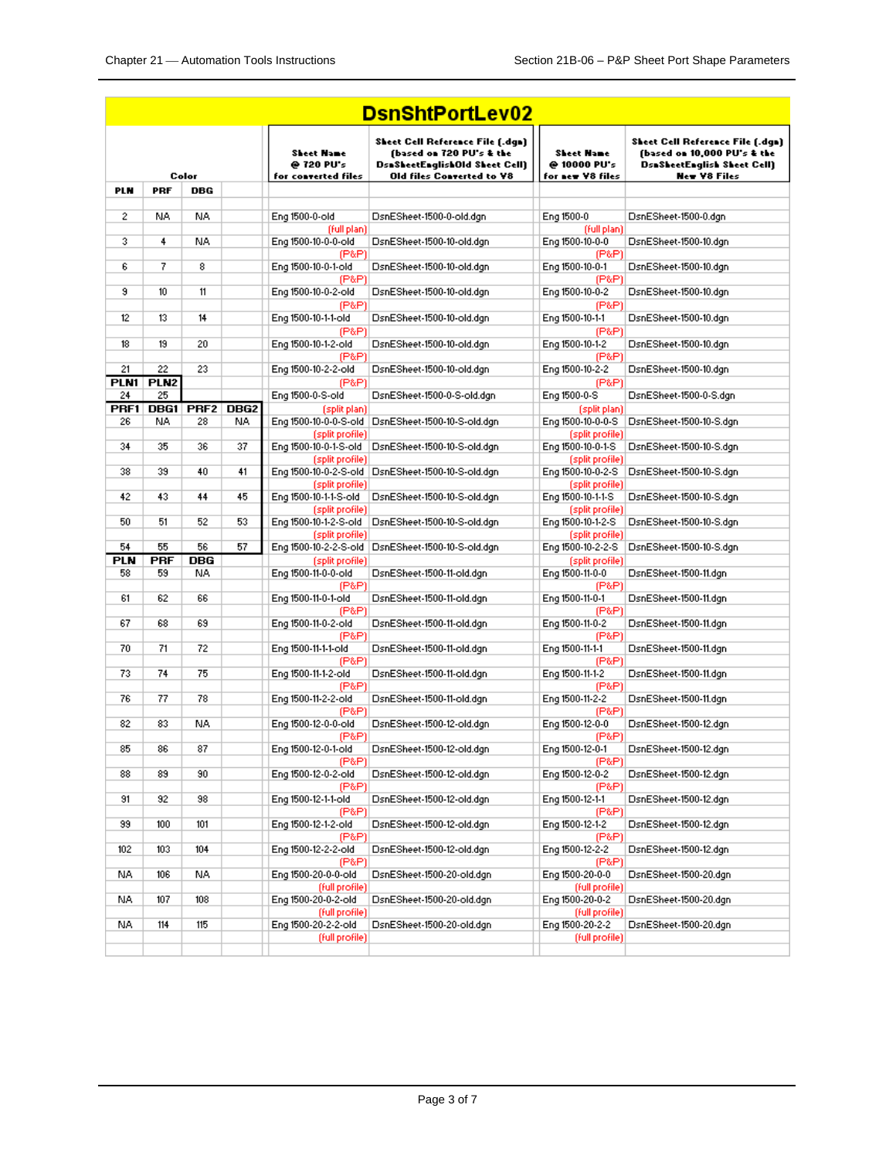| <b>DsnShtPortLev02</b> |                  |                  |                  |                                                 |                                                                                                                                    |                                                       |                                                                                                                       |  |  |
|------------------------|------------------|------------------|------------------|-------------------------------------------------|------------------------------------------------------------------------------------------------------------------------------------|-------------------------------------------------------|-----------------------------------------------------------------------------------------------------------------------|--|--|
| Color                  |                  |                  |                  | Sheet Name<br>@ 720 PU's<br>for converted files | <b>Sheet Cell Reference File [.dqn]</b><br>(based on 720 PU's & the<br>DsnSheetEnglishOld Sheet Cell)<br>Old files Converted to Y8 | <b>Sheet Name</b><br>@ 10000 PU's<br>for new V8 files | Sheet Cell Reference File (.dgn)<br>(based on 10,000 PU's & the<br>DsnSheetEnglish Sheet Cell)<br><b>New Y8 Files</b> |  |  |
| <b>PLN</b>             | <b>PRF</b>       | DBG              |                  |                                                 |                                                                                                                                    |                                                       |                                                                                                                       |  |  |
| 2                      | NA.              | NA.              |                  | Eng 1500-0-old                                  | DsnESheet-1500-0-old.dgn                                                                                                           | Eng 1500-0                                            | DsnESheet-1500-0.dgn                                                                                                  |  |  |
|                        |                  |                  |                  | (full plan)                                     |                                                                                                                                    | (full plan)                                           |                                                                                                                       |  |  |
| 3                      | 4                | NA.              |                  | Eng 1500-10-0-0-old<br>(P&P).                   | DsnESheet-1500-10-old.dgn                                                                                                          | Eng 1500-10-0-0<br>(P&P)                              | DsnESheet-1500-10.dgn                                                                                                 |  |  |
| 6                      | 7                | 8                |                  | Eng 1500-10-0-1-old                             | DsnESheet-1500-10-old.dgn                                                                                                          | Eng 1500-10-0-1                                       | DsnESheet-1500-10.dgn                                                                                                 |  |  |
| 9                      | 10 <sup>10</sup> | 11               |                  | (P&P)<br>Eng 1500-10-0-2-old                    | DsnESheet-1500-10-old.dgn                                                                                                          | (P&P)<br>Eng 1500-10-0-2                              | DsnESheet-1500-10.dgn                                                                                                 |  |  |
| 12                     | 13               | 14               |                  | (P&P)<br>Eng 1500-10-1-1-old                    | DsnESheet-1500-10-old.dgn                                                                                                          | (P&P)<br>Eng 1500-10-1-1                              | DsnESheet-1500-10.dgn                                                                                                 |  |  |
| 18                     | 19               | 20               |                  | (P&P)<br>Eng 1500-10-1-2-old                    | DsnESheet-1500-10-old.dgn                                                                                                          | (P&P)<br>Eng 1500-10-1-2                              | DsnESheet-1500-10.dgn                                                                                                 |  |  |
| 21                     | 22               | 23               |                  | (P&P)<br>Eng 1500-10-2-2-old                    | DsnESheet-1500-10-old.dgn                                                                                                          | (P&P)<br>Eng 1500-10-2-2                              | DsnESheet-1500-10.dgn                                                                                                 |  |  |
| PLN1                   | PLN <sub>2</sub> |                  |                  | (P&P)                                           |                                                                                                                                    | (P&P)                                                 |                                                                                                                       |  |  |
| 24                     | 25               |                  |                  | Eng 1500-0-S-old                                | DsnESheet-1500-0-S-old.dgn                                                                                                         | Eng 1500-0-S                                          | DsnESheet-1500-0-S.dgn                                                                                                |  |  |
| PRF1                   |                  | <b>DBG1 PRF2</b> | DBG <sub>2</sub> | (split plan)                                    |                                                                                                                                    | (split plan)                                          |                                                                                                                       |  |  |
| 26                     | NA.              | 28               | NA.              |                                                 | Eng 1500-10-0-0-S-old   DsnESheet-1500-10-S-old.dgn                                                                                | Eng 1500-10-0-0-S                                     | DsnESheet-1500-10-S.dgn                                                                                               |  |  |
| 34                     | 35               | 36               | 37               | (split profile)                                 | Eng 1500-10-0-1-S-old DsnESheet-1500-10-S-old.dgn                                                                                  | (split profile)<br>Eng 1500-10-0-1-S                  | DsnESheet-1500-10-S.dgn                                                                                               |  |  |
| 38                     | 39               | 40               | 41               | (split profile)                                 | Eng 1500-10-0-2-S-old DsnESheet-1500-10-S-old.dgn                                                                                  | (split profile)<br>Eng 1500-10-0-2-S                  | DsnESheet-1500-10-S.dgn                                                                                               |  |  |
| 42                     | 43               | 44               | 45               | (split profile)<br>Eng 1500-10-1-1-S-old        | DsnESheet-1500-10-S-old.dgn                                                                                                        | (split profile)<br>Eng 1500-10-1-1-S                  | DsnESheet-1500-10-S.dgn                                                                                               |  |  |
| 50                     | 51               | 52               | 53               | (split profile)                                 | Eng 1500-10-1-2-S-old DsnESheet-1500-10-S-old.dgn                                                                                  | (split profile)<br>Eng 1500-10-1-2-S                  | DsnESheet-1500-10-S.dgn                                                                                               |  |  |
| 54                     | 55               | 56               | 57               | (split profile)                                 | Eng 1500-10-2-2-S-old DsnESheet-1500-10-S-old.dgn                                                                                  | (split profile)<br>Eng 1500-10-2-2-S                  | DsnESheet-1500-10-S.dgn                                                                                               |  |  |
| <b>PLN</b>             | <b>PRF</b>       | <b>DBG</b>       |                  | (split profile)                                 |                                                                                                                                    | (split profile)                                       |                                                                                                                       |  |  |
| 58                     | 59               | NA.              |                  | Eng 1500-11-0-0-old<br>(P&P)                    | DsnESheet-1500-11-old.dgn                                                                                                          | Eng 1500-11-0-0<br>(P&P)                              | DsnESheet-1500-11.dgn                                                                                                 |  |  |
| 61                     | 62               | 66               |                  | Eng 1500-11-0-1-old                             | DsnESheet-1500-11-old.dgn                                                                                                          | Eng 1500-11-0-1                                       | DsnESheet-1500-11.dgn                                                                                                 |  |  |
| 67                     | 68               | 69               |                  | (P&P)                                           |                                                                                                                                    | (P&P)                                                 |                                                                                                                       |  |  |
|                        |                  |                  |                  | Eng 1500-11-0-2-old<br>(P&P)                    | DsnESheet-1500-11-old.dgn                                                                                                          | Eng 1500-11-0-2<br>(P&P)                              | DsnESheet-1500-11.dgn                                                                                                 |  |  |
| 70                     | 71               | 72               |                  | Eng 1500-11-1-1-old                             | DsnESheet-1500-11-old.dgn                                                                                                          | Eng 1500-11-1-1                                       | DsnESheet-1500-11.dgn                                                                                                 |  |  |
| 73                     | 74               | 75               |                  | (P&P)<br>Eng 1500-11-1-2-old                    | DsnESheet-1500-11-old.dgn                                                                                                          | (P&P)<br>Eng 1500-11-1-2                              | DsnESheet-1500-11.dgn                                                                                                 |  |  |
|                        |                  |                  |                  | (P&P)                                           |                                                                                                                                    | (P&P)                                                 |                                                                                                                       |  |  |
| 76                     | 77               | 78               |                  | Eng 1500-11-2-2-old<br>(P&P)                    | DsnESheet-1500-11-old.dgn                                                                                                          | Eng 1500-11-2-2<br>(P&P)                              | DsnESheet-1500-11.dgn                                                                                                 |  |  |
| 82                     | 83               | NA.              |                  | Eng 1500-12-0-0-old<br>(P&P)                    | DsnESheet-1500-12-old.dgn                                                                                                          | Eng 1500-12-0-0<br>(P&P)                              | DsnESheet-1500-12.dgn                                                                                                 |  |  |
| 85                     | 86               | 87               |                  | Eng 1500-12-0-1-old<br>(P&P)                    | DsnESheet-1500-12-old.dgn                                                                                                          | Eng 1500-12-0-1<br>(P&P)                              | DsnESheet-1500-12.dgn                                                                                                 |  |  |
| 88                     | 89               | 90               |                  | Eng 1500-12-0-2-old                             | DsnESheet-1500-12-old.dgn                                                                                                          | Eng 1500-12-0-2                                       | DsnESheet-1500-12.dgn                                                                                                 |  |  |
| 91                     | 92               | 98               |                  | (P&P)<br>Eng 1500-12-1-1-old                    | DsnESheet-1500-12-old.dgn                                                                                                          | (P&P)<br>Eng 1500-12-1-1                              | DsnESheet-1500-12.dgn                                                                                                 |  |  |
|                        |                  |                  |                  | (P&P)                                           |                                                                                                                                    | (P&P)                                                 |                                                                                                                       |  |  |
| 99                     | 100              | 101              |                  | Eng 1500-12-1-2-old<br>(P&P)                    | DsnESheet-1500-12-old.dgn                                                                                                          | Eng 1500-12-1-2<br>(P&P)                              | DsnESheet-1500-12.dgn                                                                                                 |  |  |
| 102                    | 103              | 104              |                  | Eng 1500-12-2-2-old                             | DsnESheet-1500-12-old.dgn                                                                                                          | Eng 1500-12-2-2                                       | DsnESheet-1500-12.dgn                                                                                                 |  |  |
| NA.                    | 106              | NA.              |                  | (P&P)<br>Eng 1500-20-0-0-old                    | DsnESheet-1500-20-old.dgn                                                                                                          | (P&P)<br>Eng 1500-20-0-0                              | DsnESheet-1500-20.dgn                                                                                                 |  |  |
| NA.                    | 107              | 108              |                  | (full profile)<br>Eng 1500-20-0-2-old           | DsnESheet-1500-20-old.dgn                                                                                                          | (full profile)<br>Eng 1500-20-0-2                     | DsnESheet-1500-20.dgn                                                                                                 |  |  |
|                        |                  |                  |                  | (full profile)                                  |                                                                                                                                    | (full profile)                                        |                                                                                                                       |  |  |
| NA.                    | 114              | 115              |                  | Eng 1500-20-2-2-old                             | DsnESheet-1500-20-old.dgn                                                                                                          | Eng 1500-20-2-2                                       | DsnESheet-1500-20.dgn                                                                                                 |  |  |
|                        |                  |                  |                  | (full profile)                                  |                                                                                                                                    | (full profile)                                        |                                                                                                                       |  |  |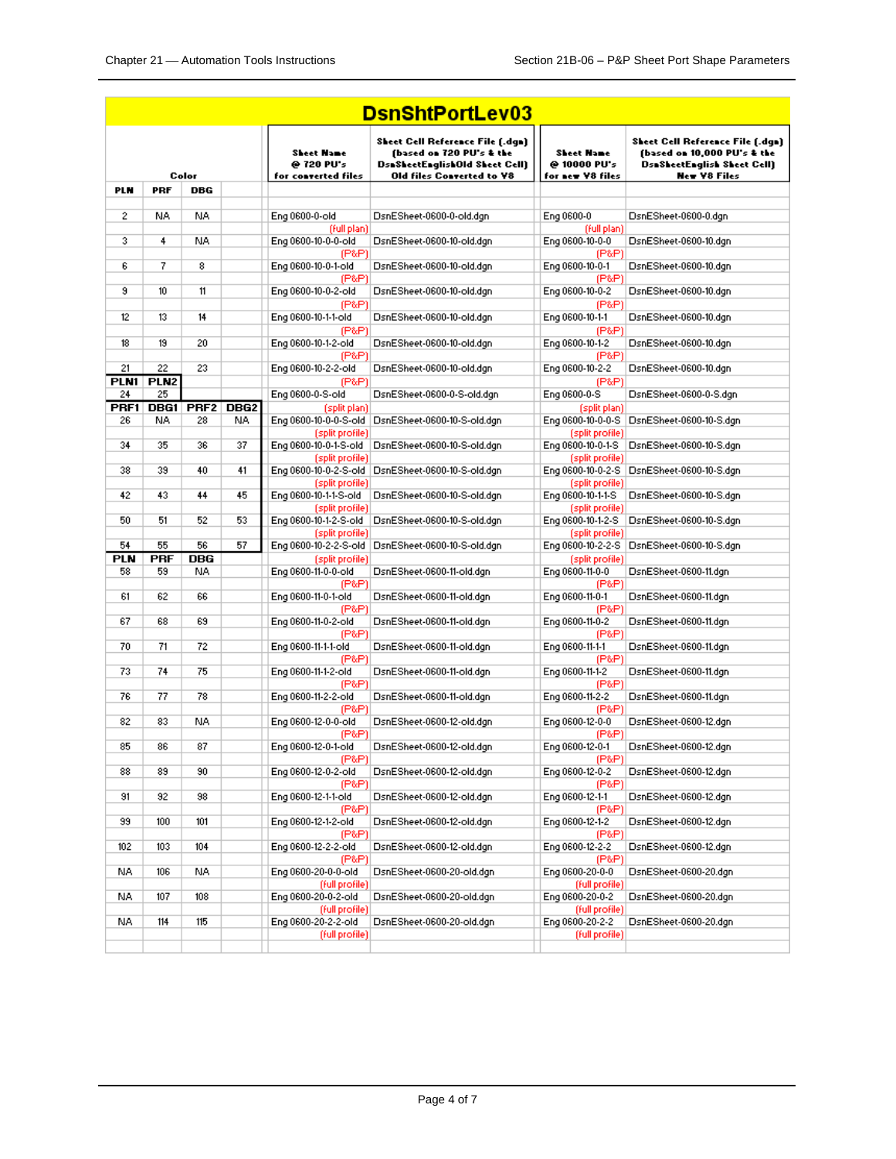| <b>DsnShtPortLev03</b> |                  |                             |     |                                                 |                                                                                                                                           |                                                |                                                                                                                              |  |  |
|------------------------|------------------|-----------------------------|-----|-------------------------------------------------|-------------------------------------------------------------------------------------------------------------------------------------------|------------------------------------------------|------------------------------------------------------------------------------------------------------------------------------|--|--|
|                        |                  | Color                       |     | Sheet Name<br>@ 720 PU's<br>for converted files | Sheet Cell Reference File (.dgn)<br>(based on 720 PU's & the<br><b>DsaSheetEnglishOld Sheet Cell)</b><br><b>Old files Converted to V8</b> | Sheet Name<br>@ 10000 PU's<br>for new V8 files | Sheet Cell Reference File (.dgn)<br>(based on 10,000 PU's & the<br><b>DsaSheetEnglish Sheet Cell)</b><br><b>New Y8 Files</b> |  |  |
| <b>PLN</b>             | <b>PRF</b>       | DBG                         |     |                                                 |                                                                                                                                           |                                                |                                                                                                                              |  |  |
| 2                      | NA.              | NA.                         |     | Eng 0600-0-old                                  | DsnESheet-0600-0-old.dgn                                                                                                                  | Eng 0600-0                                     | DsnESheet-0600-0.dgn                                                                                                         |  |  |
|                        |                  |                             |     | (full plan)                                     |                                                                                                                                           | (full plan)                                    |                                                                                                                              |  |  |
| 3                      | 4                | NA.                         |     | Eng 0600-10-0-0-old                             | DsnESheet-0600-10-old.dgn                                                                                                                 | Eng 0600-10-0-0                                | DsnESheet-0600-10.dgn                                                                                                        |  |  |
| 6                      | 7                | 8                           |     | (P&P)<br>Eng 0600-10-0-1-old                    | DsnESheet-0600-10-old.dgn                                                                                                                 | (P&P)<br>Eng 0600-10-0-1                       | DsnESheet-0600-10.dgn                                                                                                        |  |  |
| 9                      | 10               | 11                          |     | (P&P)<br>Eng 0600-10-0-2-old                    | DsnESheet-0600-10-old.dgn                                                                                                                 | (P&P)<br>Eng 0600-10-0-2                       | DsnESheet-0600-10.dgn                                                                                                        |  |  |
|                        |                  |                             |     | (P&P)                                           |                                                                                                                                           | (P&P)                                          |                                                                                                                              |  |  |
| 12                     | 13               | 14                          |     | Eng 0600-10-1-1-old<br>(P&P)                    | DsnESheet-0600-10-old.dgn                                                                                                                 | Eng 0600-10-1-1<br>(P&P)                       | DsnESheet-0600-10.dgn                                                                                                        |  |  |
| 18                     | 19               | 20                          |     | Eng 0600-10-1-2-old                             | DsnESheet-0600-10-old.dgn                                                                                                                 | Eng 0600-10-1-2                                | DsnESheet-0600-10.dgn                                                                                                        |  |  |
| 21                     | 22               | 23                          |     | (P&P)<br>Eng 0600-10-2-2-old                    | DsnESheet-0600-10-old.dgn                                                                                                                 | (P&P)<br>Eng 0600-10-2-2                       | DsnESheet-0600-10.dgn                                                                                                        |  |  |
|                        | PLN1 PLN2        |                             |     | (P&P)                                           |                                                                                                                                           | (P&P)                                          |                                                                                                                              |  |  |
| 24                     | 25               |                             |     | Eng 0600-0-S-old                                | DsnESheet-0600-0-S-old.dgn                                                                                                                | Eng 0600-0-S                                   | DsnESheet-0600-0-S.dgn                                                                                                       |  |  |
| PRF1<br>26             | NA.              | <b>DBG1 PRF2 DBG2</b><br>28 | NA. | (split plan)<br>Eng 0600-10-0-0-S-old           | DsnESheet-0600-10-S-old.dgn                                                                                                               | (split plan)<br>Eng 0600-10-0-0-S              | DsnESheet-0600-10-S.dgn                                                                                                      |  |  |
|                        |                  |                             |     | (split profile)                                 |                                                                                                                                           | (split profile)                                |                                                                                                                              |  |  |
| 34                     | 35               | 36                          | 37  | Eng 0600-10-0-1-S-old                           | DsnESheet-0600-10-S-old.dgn                                                                                                               | Eng 0600-10-0-1-S                              | DsnESheet-0600-10-S.dgn                                                                                                      |  |  |
| 38                     | 39               | 40                          | 41  | (split profile)                                 | Eng 0600-10-0-2-S-old   DsnESheet-0600-10-S-old.dgn                                                                                       | (split profile)                                | Eng 0600-10-0-2-S DsnESheet-0600-10-S.dgn                                                                                    |  |  |
|                        |                  |                             |     | (split profile)                                 |                                                                                                                                           | (split profile)                                |                                                                                                                              |  |  |
| 42                     | 43               | 44                          | 45  | Eng 0600-10-1-1-S-old                           | DsnESheet-0600-10-S-old.dgn                                                                                                               | Eng 0600-10-1-1-S                              | DsnESheet-0600-10-S.dgn                                                                                                      |  |  |
| 50                     | 51               | 52                          | 53  | (split profile)<br>Eng 0600-10-1-2-S-old        | DsnESheet-0600-10-S-old.dgn                                                                                                               | (split profile)<br>Eng 0600-10-1-2-S           | DsnESheet-0600-10-S.dgn                                                                                                      |  |  |
|                        |                  |                             |     | (split profile)                                 |                                                                                                                                           | (split profile)                                |                                                                                                                              |  |  |
| 54                     | 55               | 56                          | 57  | Eng 0600-10-2-2-S-old                           | DsnESheet-0600-10-S-old.dgn                                                                                                               | Eng 0600-10-2-2-S                              | DsnESheet-0600-10-S.dgn                                                                                                      |  |  |
| <b>PLN</b><br>58       | <b>PRF</b><br>59 | <b>DBG</b><br>NA.           |     | (split profile)<br>Eng 0600-11-0-0-old          | DsnESheet-0600-11-old.dgn                                                                                                                 | (split profile)<br>Eng 0600-11-0-0             | DsnESheet-0600-11.dgn                                                                                                        |  |  |
|                        |                  |                             |     | (P&P)                                           |                                                                                                                                           | (P&P)                                          |                                                                                                                              |  |  |
| 61                     | 62               | 66                          |     | Eng 0600-11-0-1-old                             | DsnESheet-0600-11-old.dgn                                                                                                                 | Eng 0600-11-0-1                                | DsnESheet-0600-11.dgn                                                                                                        |  |  |
| 67                     | 68               | 69                          |     | (P&P)<br>Eng 0600-11-0-2-old                    | DsnESheet-0600-11-old.dgn                                                                                                                 | (P&P)<br>Eng 0600-11-0-2                       | DsnESheet-0600-11.dgn                                                                                                        |  |  |
|                        |                  |                             |     | (P&P)                                           |                                                                                                                                           | (P&P)                                          |                                                                                                                              |  |  |
| 70                     | 71               | 72                          |     | Eng 0600-11-1-1-old<br>(P&P)                    | DsnESheet-0600-11-old.dgn                                                                                                                 | Eng 0600-11-1-1<br>(P&P)                       | DsnESheet-0600-11.dgn                                                                                                        |  |  |
| 73                     | 74               | 75                          |     | Eng 0600-11-1-2-old                             | DsnESheet-0600-11-old.dgn                                                                                                                 | Eng 0600-11-1-2                                | DsnESheet-0600-11.dgn                                                                                                        |  |  |
|                        |                  |                             |     | (P&P)                                           |                                                                                                                                           | (P&P)                                          |                                                                                                                              |  |  |
| 76                     | 77               | 78                          |     | Eng 0600-11-2-2-old<br>(P&P)                    | DsnESheet-0600-11-old.dgn                                                                                                                 | Eng 0600-11-2-2<br>(P&P)                       | DsnESheet-0600-11.dgn                                                                                                        |  |  |
| 82                     | 83               | NA.                         |     | Eng 0600-12-0-0-old                             | DsnESheet-0600-12-old.dgn                                                                                                                 | Eng 0600-12-0-0                                | DsnESheet-0600-12.dgn                                                                                                        |  |  |
| 85                     | 86               | 87                          |     | (P&P)<br>Eng 0600-12-0-1-old                    | DsnESheet-0600-12-old.dgn                                                                                                                 | (P&P)<br>Eng 0600-12-0-1                       | DsnESheet-0600-12.dgn                                                                                                        |  |  |
| 88                     | 89               | 90                          |     | (P&P)<br>Eng 0600-12-0-2-old                    | DsnESheet-0600-12-old.dgn                                                                                                                 | (P&P)<br>Eng 0600-12-0-2                       | DsnESheet-0600-12.dgn                                                                                                        |  |  |
|                        |                  |                             |     | (P&P)                                           |                                                                                                                                           | (P&P)                                          |                                                                                                                              |  |  |
| 91                     | 92               | 98                          |     | Eng 0600-12-1-1-old                             | DsnESheet-0600-12-old.dgn                                                                                                                 | Eng 0600-12-1-1                                | DsnESheet-0600-12.dgn                                                                                                        |  |  |
| 99                     | 100              | 101                         |     | (P&P)<br>Eng 0600-12-1-2-old                    | DsnESheet-0600-12-old.dgn                                                                                                                 | (P&P)<br>Eng 0600-12-1-2                       | DsnESheet-0600-12.dgn                                                                                                        |  |  |
| 102                    | 103              | 104                         |     | (P&P)<br>Eng 0600-12-2-2-old                    | DsnESheet-0600-12-old.dgn                                                                                                                 | (P&P)<br>Eng 0600-12-2-2                       | DsnESheet-0600-12.dgn                                                                                                        |  |  |
|                        |                  |                             |     | (P&P)                                           |                                                                                                                                           | (P&P)                                          |                                                                                                                              |  |  |
| NA.                    | 106              | NA.                         |     | Eng 0600-20-0-0-old                             | DsnESheet-0600-20-old.dgn                                                                                                                 | Eng 0600-20-0-0                                | DsnESheet-0600-20.dgn                                                                                                        |  |  |
| NA.                    | 107              | 108                         |     | (full profile)<br>Eng 0600-20-0-2-old           | DsnESheet-0600-20-old.dgn                                                                                                                 | (full profile)<br>Eng 0600-20-0-2              | DsnESheet-0600-20.dgn                                                                                                        |  |  |
|                        |                  |                             |     | (full profile)                                  |                                                                                                                                           | (full profile)                                 |                                                                                                                              |  |  |
| NA.                    | 114              | 115                         |     | Eng 0600-20-2-2-old                             | DsnESheet-0600-20-old.dgn                                                                                                                 | Eng 0600-20-2-2                                | DsnESheet-0600-20.dgn                                                                                                        |  |  |
|                        |                  |                             |     | (full profile)                                  |                                                                                                                                           | (full profile)                                 |                                                                                                                              |  |  |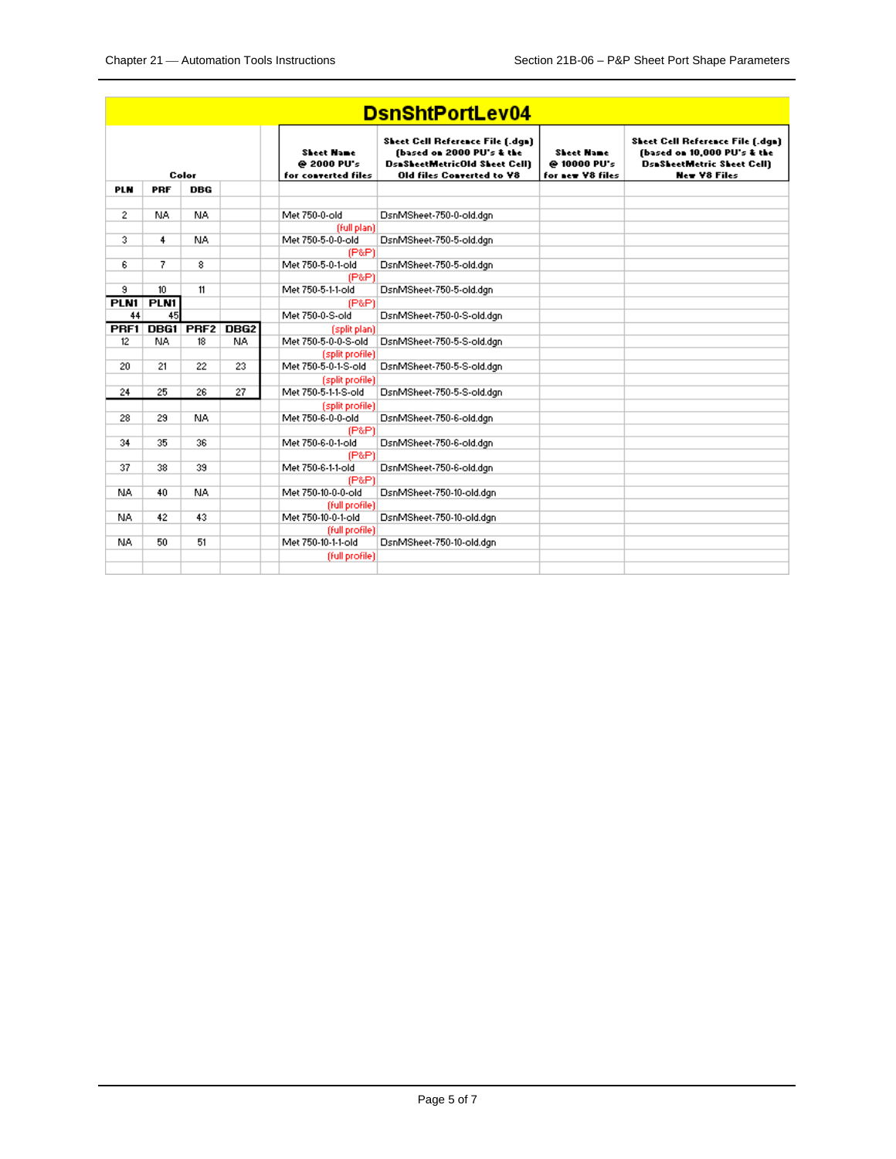| <b>DsnShtPortLev04</b> |                          |                  |                  |                                                           |                                                                                                                                                  |                                                       |                                                                                                                                    |  |  |
|------------------------|--------------------------|------------------|------------------|-----------------------------------------------------------|--------------------------------------------------------------------------------------------------------------------------------------------------|-------------------------------------------------------|------------------------------------------------------------------------------------------------------------------------------------|--|--|
|                        |                          | Color            |                  | <b>Sheet Hane</b><br>@ 2000 PU's<br>for converted files   | <b>Sheet Cell Reference File [.dqn]</b><br>(based on 2000 PU's & the<br><b>DsaSheetMetricOld Sheet Cell)</b><br><b>Old files Converted to V8</b> | <b>Sheet Hame</b><br>@ 10000 PU's<br>for new V8 files | <b>Sheet Cell Reference File [.dqn]</b><br>(based on 10,000 PU's & the<br><b>DsaSheetMetric Sheet Cell)</b><br><b>New V8 Files</b> |  |  |
| <b>PLN</b>             | PRF                      | DBG              |                  |                                                           |                                                                                                                                                  |                                                       |                                                                                                                                    |  |  |
| $\mathbf{2}$           | NA.                      | <b>NA</b>        |                  | Met 750-0-old                                             | DsnMSheet-750-0-old.dgn                                                                                                                          |                                                       |                                                                                                                                    |  |  |
| 3                      | 4                        | NA.              |                  | (full plan)<br>Met 750-5-0-0-old                          | DsnMSheet-750-5-old.dgn                                                                                                                          |                                                       |                                                                                                                                    |  |  |
| 6                      | 7                        | 8                |                  | (P&P)<br>Met 750-5-0-1-old<br>(P&P)                       | DsnMSheet-750-5-old.dgn                                                                                                                          |                                                       |                                                                                                                                    |  |  |
| 9<br>PLN1              | 10 <sup>10</sup><br>PLN1 | 11               |                  | Met 750-5-1-1-old<br>(P&P)                                | DsnMSheet-750-5-old.dgn                                                                                                                          |                                                       |                                                                                                                                    |  |  |
| 44                     | 45                       |                  |                  | Met 750-0-S-old                                           | DsnMSheet-750-0-S-old.dgn                                                                                                                        |                                                       |                                                                                                                                    |  |  |
| PRF1                   | DBG1                     | PRF <sub>2</sub> | DBG <sub>2</sub> | (split plan)                                              |                                                                                                                                                  |                                                       |                                                                                                                                    |  |  |
| 12                     | NA.                      | 18               | NA.              | Met 750-5-0-0-S-old                                       | DsnMSheet-750-5-S-old.dgn                                                                                                                        |                                                       |                                                                                                                                    |  |  |
| 20                     | 21                       | 22               | 23               | (split profile)<br>Met 750-5-0-1-S-old<br>(split profile) | DsnMSheet-750-5-S-old.dgn                                                                                                                        |                                                       |                                                                                                                                    |  |  |
| 24                     | 25                       | 26               | 27               | Met 750-5-1-1-S-old                                       | DsnMSheet-750-5-S-old.dgn                                                                                                                        |                                                       |                                                                                                                                    |  |  |
| 28                     | 29                       | <b>NA</b>        |                  | (split profile)<br>Met 750-6-0-0-old<br>(P&P)             | DsnMSheet-750-6-old.dgn                                                                                                                          |                                                       |                                                                                                                                    |  |  |
| 34                     | 35                       | 36               |                  | Met 750-6-0-1-old<br>(P&P)                                | DsnMSheet-750-6-old.dgn                                                                                                                          |                                                       |                                                                                                                                    |  |  |
| 37                     | 38                       | 39               |                  | Met 750-6-1-1-old<br>(P&P)                                | DsnMSheet-750-6-old.dgn                                                                                                                          |                                                       |                                                                                                                                    |  |  |
| NA.                    | 40                       | NA.              |                  | Met 750-10-0-0-old<br>(full profile)                      | DsnMSheet-750-10-old.dgn                                                                                                                         |                                                       |                                                                                                                                    |  |  |
| NA.                    | 42                       | 43               |                  | Met 750-10-0-1-old                                        | DsnMSheet-750-10-old.dgn                                                                                                                         |                                                       |                                                                                                                                    |  |  |
| NA.                    | 50                       | 51               |                  | (full profile)<br>Met 750-10-1-1-old                      | DsnMSheet-750-10-old.dgn                                                                                                                         |                                                       |                                                                                                                                    |  |  |
|                        |                          |                  |                  | (full profile)                                            |                                                                                                                                                  |                                                       |                                                                                                                                    |  |  |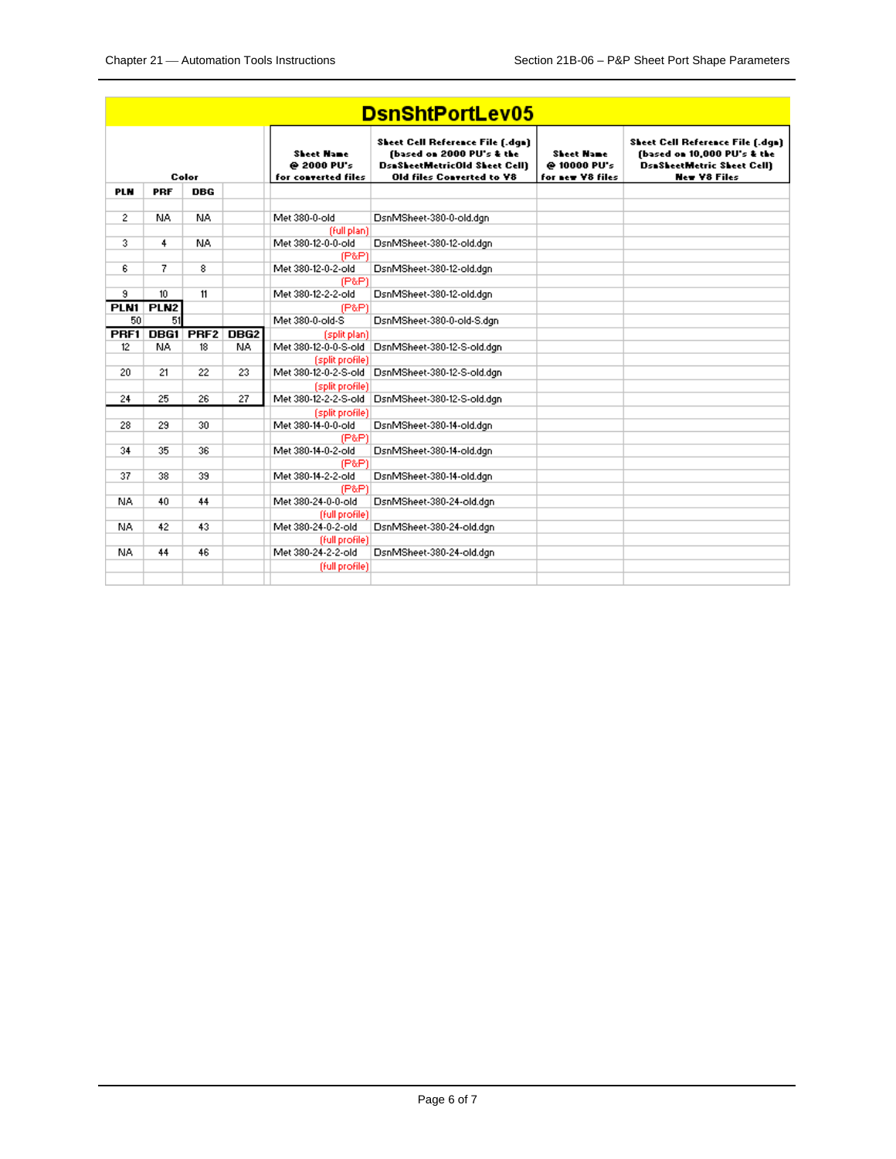| <b>DsnShtPortLev05</b> |                        |                  |                  |                                                            |                                                                                                                                                  |                                                       |                                                                                                                                    |  |  |
|------------------------|------------------------|------------------|------------------|------------------------------------------------------------|--------------------------------------------------------------------------------------------------------------------------------------------------|-------------------------------------------------------|------------------------------------------------------------------------------------------------------------------------------------|--|--|
|                        |                        | Color            |                  | Sheet Name<br>@ 2000 PU's<br>for converted files           | <b>Sheet Cell Reference File [.dqn]</b><br>(based on 2000 PU's & the<br><b>DsaSheetMetricOld Sheet Cell)</b><br><b>Old files Converted to V8</b> | <b>Sheet Hame</b><br>@ 10000 PU's<br>for new V8 files | <b>Sheet Cell Reference File [.dqn]</b><br>(based on 10,000 PU's & the<br><b>DsaSheetMetric Sheet Cell)</b><br><b>New V8 Files</b> |  |  |
| <b>PLN</b>             | PRF                    | DBG              |                  |                                                            |                                                                                                                                                  |                                                       |                                                                                                                                    |  |  |
| $\mathbf{2}$           | NA                     | NA.              |                  | Met 380-0-old                                              | DsnMSheet-380-0-old.dgn                                                                                                                          |                                                       |                                                                                                                                    |  |  |
| 3                      | 4                      | NA.              |                  | (full plan)<br>Met 380-12-0-0-old<br>(P&P)                 | DsnMSheet-380-12-old.dgn                                                                                                                         |                                                       |                                                                                                                                    |  |  |
| 6                      | 7                      | 8                |                  | Met 380-12-0-2-old<br>(P&P)                                | DsnMSheet-380-12-old.dgn                                                                                                                         |                                                       |                                                                                                                                    |  |  |
| 9<br>PLN1              | 10<br>PLN <sub>2</sub> | 11               |                  | Met 380-12-2-2-old<br>(P&P)                                | DsnMSheet-380-12-old.dgn                                                                                                                         |                                                       |                                                                                                                                    |  |  |
| 50                     | 51                     |                  |                  | Met 380-0-old-S                                            | DsnMSheet-380-0-old-S.dgn                                                                                                                        |                                                       |                                                                                                                                    |  |  |
| PRF1                   | DBG1                   | PRF <sub>2</sub> | DBG <sub>2</sub> | (split plan)                                               |                                                                                                                                                  |                                                       |                                                                                                                                    |  |  |
| 12                     | NA.                    | 18               | NA.              | Met 380-12-0-0-S-old                                       | DsnMSheet-380-12-S-old.dgn                                                                                                                       |                                                       |                                                                                                                                    |  |  |
| 20                     | 21                     | 22               | 23               | (split profile)<br>Met 380-12-0-2-S-old                    | DsnMSheet-380-12-S-old.dgn                                                                                                                       |                                                       |                                                                                                                                    |  |  |
| 24                     | 25                     | 26               | 27               | (split profile)<br>Met 380-12-2-2-S-old<br>(split profile) | DsnMSheet-380-12-S-old.dgn                                                                                                                       |                                                       |                                                                                                                                    |  |  |
| 28                     | 29                     | 30               |                  | Met 380-14-0-0-old<br>(P&P)                                | DsnMSheet-380-14-old.dgn                                                                                                                         |                                                       |                                                                                                                                    |  |  |
| 34                     | 35                     | 36               |                  | Met 380-14-0-2-old<br>(P&P)                                | DsnMSheet-380-14-old.dgn                                                                                                                         |                                                       |                                                                                                                                    |  |  |
| 37                     | 38                     | 39               |                  | Met 380-14-2-2-old<br>(P&P)                                | DsnMSheet-380-14-old.dgn                                                                                                                         |                                                       |                                                                                                                                    |  |  |
| NA.                    | 40                     | 44               |                  | Met 380-24-0-0-old<br>(full profile)                       | DsnMSheet-380-24-old.dgn                                                                                                                         |                                                       |                                                                                                                                    |  |  |
| NA.                    | 42                     | 43               |                  | Met 380-24-0-2-old<br>(full profile)                       | DsnMSheet-380-24-old.dgn                                                                                                                         |                                                       |                                                                                                                                    |  |  |
| NA.                    | 44                     | 46               |                  | Met 380-24-2-2-old<br>(full profile)                       | DsnMSheet-380-24-old.dgn                                                                                                                         |                                                       |                                                                                                                                    |  |  |
|                        |                        |                  |                  |                                                            |                                                                                                                                                  |                                                       |                                                                                                                                    |  |  |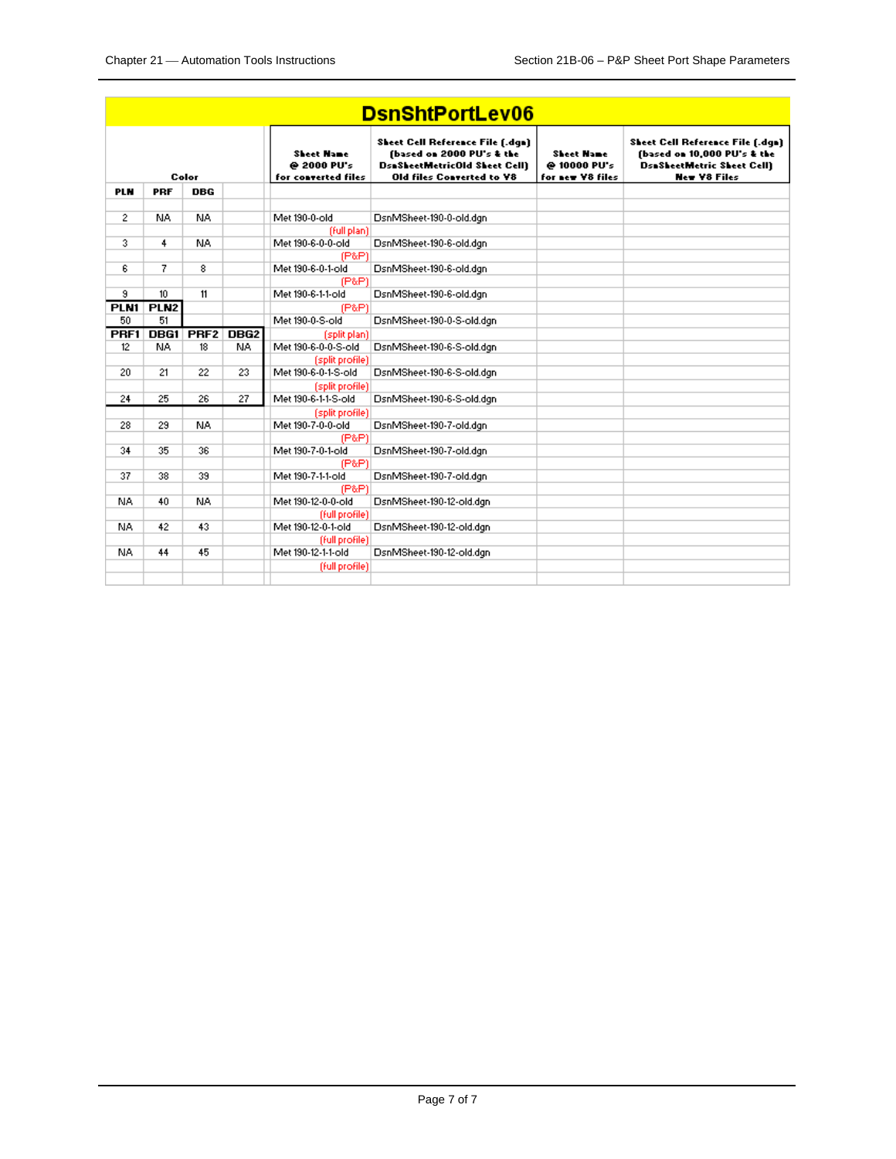| <b>DsnShtPortLev06</b> |                  |                  |                  |                                                  |                                                                                                                                                  |                                                       |                                                                                                                                    |  |  |
|------------------------|------------------|------------------|------------------|--------------------------------------------------|--------------------------------------------------------------------------------------------------------------------------------------------------|-------------------------------------------------------|------------------------------------------------------------------------------------------------------------------------------------|--|--|
|                        |                  | Color            |                  | Sheet Name<br>@ 2000 PU's<br>for converted files | <b>Sheet Cell Reference File [.dqn]</b><br>(based on 2000 PU's & the<br><b>DsaSheetMetricOld Sheet Cell)</b><br><b>Old files Converted to V8</b> | <b>Sheet Hame</b><br>@ 10000 PU's<br>for new V8 files | <b>Sheet Cell Reference File [.dqn]</b><br>(based on 10,000 PU's & the<br><b>DsaSheetMetric Sheet Cell)</b><br><b>New V8 Files</b> |  |  |
| <b>PLN</b>             | PRF              | DBG              |                  |                                                  |                                                                                                                                                  |                                                       |                                                                                                                                    |  |  |
| 2                      | NA               | NA.              |                  | Met 190-0-old                                    | DsnMSheet-190-0-old.dgn                                                                                                                          |                                                       |                                                                                                                                    |  |  |
| 3.                     | 4                | NA.              |                  | (full plan)<br>Met 190-6-0-0-old<br>(P&P)        | DsnMSheet-190-6-old.dgn                                                                                                                          |                                                       |                                                                                                                                    |  |  |
| 6                      | 7                | 8                |                  | Met 190-6-0-1-old<br>(P&P)                       | DsnMSheet-190-6-old.dgn                                                                                                                          |                                                       |                                                                                                                                    |  |  |
| 9                      | 10               | 11               |                  | Met 190-6-1-1-old                                | DsnMSheet-190-6-old.dgn                                                                                                                          |                                                       |                                                                                                                                    |  |  |
| PLN1                   | PLN <sub>2</sub> |                  |                  | (P&P)                                            |                                                                                                                                                  |                                                       |                                                                                                                                    |  |  |
| 50                     | 51               |                  |                  | Met 190-0-S-old                                  | DsnMSheet-190-0-S-old.dgn                                                                                                                        |                                                       |                                                                                                                                    |  |  |
| PRF1                   | DBG1             | PRF <sub>2</sub> | DBG <sub>2</sub> | (split plan)                                     |                                                                                                                                                  |                                                       |                                                                                                                                    |  |  |
| 12                     | NA.              | 18               | NA.              | Met 190-6-0-0-S-old                              | DsnMSheet-190-6-S-old.dgn                                                                                                                        |                                                       |                                                                                                                                    |  |  |
| 20                     | 21               | 22               | 23               | (split profile)<br>Met 190-6-0-1-S-old           | DsnMSheet-190-6-S-old.dgn                                                                                                                        |                                                       |                                                                                                                                    |  |  |
|                        |                  |                  |                  |                                                  |                                                                                                                                                  |                                                       |                                                                                                                                    |  |  |
| 24                     | 25               | 26               | 27               | (split profile)<br>Met 190-6-1-1-S-old           | DsnMSheet-190-6-S-old.dgn                                                                                                                        |                                                       |                                                                                                                                    |  |  |
|                        |                  |                  |                  | (split profile)                                  |                                                                                                                                                  |                                                       |                                                                                                                                    |  |  |
| 28                     | 29               | NA.              |                  | Met 190-7-0-0-old                                | DsnMSheet-190-7-old.dgn                                                                                                                          |                                                       |                                                                                                                                    |  |  |
|                        |                  |                  |                  | (P&P)                                            |                                                                                                                                                  |                                                       |                                                                                                                                    |  |  |
| 34                     | 35               | 36               |                  | Met 190-7-0-1-old                                | DsnMSheet-190-7-old.dgn                                                                                                                          |                                                       |                                                                                                                                    |  |  |
|                        |                  |                  |                  | (P&P)                                            |                                                                                                                                                  |                                                       |                                                                                                                                    |  |  |
| 37                     | 38               | 39               |                  | Met 190-7-1-1-old                                | DsnMSheet-190-7-old.dgn                                                                                                                          |                                                       |                                                                                                                                    |  |  |
|                        |                  |                  |                  | (P&P)                                            |                                                                                                                                                  |                                                       |                                                                                                                                    |  |  |
| NA.                    | 40               | NA.              |                  | Met 190-12-0-0-old                               | DsnMSheet-190-12-old.dgn                                                                                                                         |                                                       |                                                                                                                                    |  |  |
|                        |                  |                  |                  | (full profile)                                   |                                                                                                                                                  |                                                       |                                                                                                                                    |  |  |
| NA.                    | 42               | 43               |                  | Met 190-12-0-1-old                               | DsnMSheet-190-12-old.dgn                                                                                                                         |                                                       |                                                                                                                                    |  |  |
|                        |                  |                  |                  | (full profile)                                   |                                                                                                                                                  |                                                       |                                                                                                                                    |  |  |
| NA.                    | 44               | 45               |                  | Met 190-12-1-1-old                               | DsnMSheet-190-12-old.dgn                                                                                                                         |                                                       |                                                                                                                                    |  |  |
|                        |                  |                  |                  | (full profile)                                   |                                                                                                                                                  |                                                       |                                                                                                                                    |  |  |
|                        |                  |                  |                  |                                                  |                                                                                                                                                  |                                                       |                                                                                                                                    |  |  |